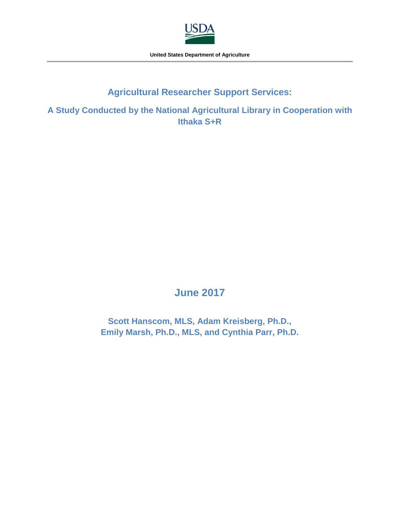

**United States Department of Agriculture**

# **Agricultural Researcher Support Services:**

**A Study Conducted by the National Agricultural Library in Cooperation with Ithaka S+R**

# **June 2017**

**Scott Hanscom, MLS, Adam Kreisberg, Ph.D., Emily Marsh, Ph.D., MLS, and Cynthia Parr, Ph.D.**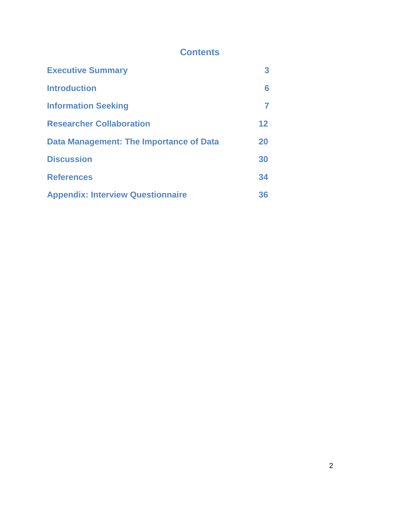# **Contents**

| <b>Executive Summary</b>                 | 3  |
|------------------------------------------|----|
| <b>Introduction</b>                      | 6  |
| <b>Information Seeking</b>               |    |
| <b>Researcher Collaboration</b>          | 12 |
| Data Management: The Importance of Data  | 20 |
| <b>Discussion</b>                        | 30 |
| <b>References</b>                        | 34 |
| <b>Appendix: Interview Questionnaire</b> | 36 |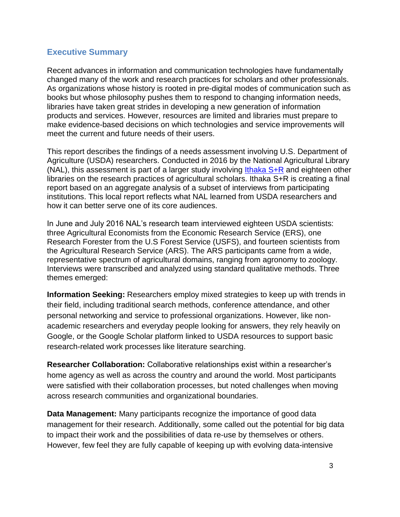### <span id="page-2-0"></span>**Executive Summary**

Recent advances in information and communication technologies have fundamentally changed many of the work and research practices for scholars and other professionals. As organizations whose history is rooted in pre-digital modes of communication such as books but whose philosophy pushes them to respond to changing information needs, libraries have taken great strides in developing a new generation of information products and services. However, resources are limited and libraries must prepare to make evidence-based decisions on which technologies and service improvements will meet the current and future needs of their users.

This report describes the findings of a needs assessment involving U.S. Department of Agriculture (USDA) researchers. Conducted in 2016 by the National Agricultural Library (NAL), this assessment is part of a larger study involving Ithaka  $S+R$  and eighteen other libraries on the research practices of agricultural scholars. Ithaka S+R is creating a final report based on an aggregate analysis of a subset of interviews from participating institutions. This local report reflects what NAL learned from USDA researchers and how it can better serve one of its core audiences.

In June and July 2016 NAL's research team interviewed eighteen USDA scientists: three Agricultural Economists from the Economic Research Service (ERS), one Research Forester from the U.S Forest Service (USFS), and fourteen scientists from the Agricultural Research Service (ARS). The ARS participants came from a wide, representative spectrum of agricultural domains, ranging from agronomy to zoology. Interviews were transcribed and analyzed using standard qualitative methods. Three themes emerged:

**Information Seeking:** Researchers employ mixed strategies to keep up with trends in their field, including traditional search methods, conference attendance, and other personal networking and service to professional organizations. However, like nonacademic researchers and everyday people looking for answers, they rely heavily on Google, or the Google Scholar platform linked to USDA resources to support basic research-related work processes like literature searching.

**Researcher Collaboration:** Collaborative relationships exist within a researcher's home agency as well as across the country and around the world. Most participants were satisfied with their collaboration processes, but noted challenges when moving across research communities and organizational boundaries.

**Data Management:** Many participants recognize the importance of good data management for their research. Additionally, some called out the potential for big data to impact their work and the possibilities of data re-use by themselves or others. However, few feel they are fully capable of keeping up with evolving data-intensive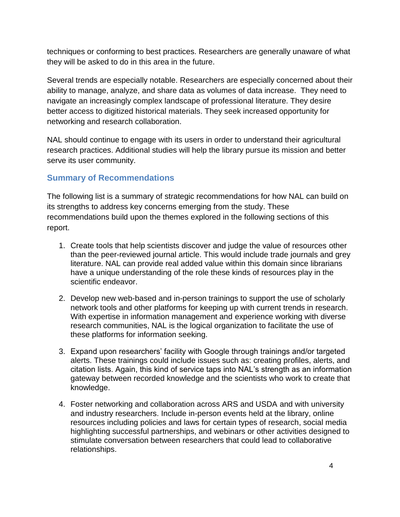techniques or conforming to best practices. Researchers are generally unaware of what they will be asked to do in this area in the future.

Several trends are especially notable. Researchers are especially concerned about their ability to manage, analyze, and share data as volumes of data increase. They need to navigate an increasingly complex landscape of professional literature. They desire better access to digitized historical materials. They seek increased opportunity for networking and research collaboration.

NAL should continue to engage with its users in order to understand their agricultural research practices. Additional studies will help the library pursue its mission and better serve its user community.

# **Summary of Recommendations**

The following list is a summary of strategic recommendations for how NAL can build on its strengths to address key concerns emerging from the study. These recommendations build upon the themes explored in the following sections of this report.

- 1. Create tools that help scientists discover and judge the value of resources other than the peer-reviewed journal article. This would include trade journals and grey literature. NAL can provide real added value within this domain since librarians have a unique understanding of the role these kinds of resources play in the scientific endeavor.
- 2. Develop new web-based and in-person trainings to support the use of scholarly network tools and other platforms for keeping up with current trends in research. With expertise in information management and experience working with diverse research communities, NAL is the logical organization to facilitate the use of these platforms for information seeking.
- 3. Expand upon researchers' facility with Google through trainings and/or targeted alerts. These trainings could include issues such as: creating profiles, alerts, and citation lists. Again, this kind of service taps into NAL's strength as an information gateway between recorded knowledge and the scientists who work to create that knowledge.
- 4. Foster networking and collaboration across ARS and USDA and with university and industry researchers. Include in-person events held at the library, online resources including policies and laws for certain types of research, social media highlighting successful partnerships, and webinars or other activities designed to stimulate conversation between researchers that could lead to collaborative relationships.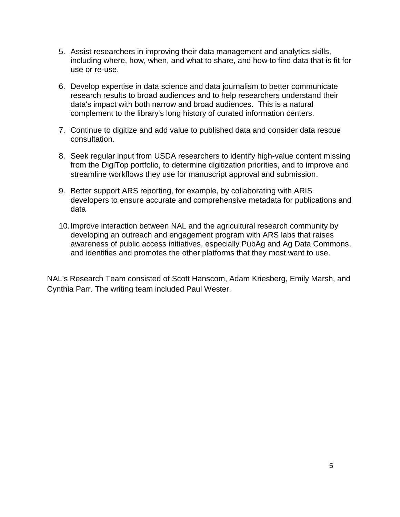- 5. Assist researchers in improving their data management and analytics skills, including where, how, when, and what to share, and how to find data that is fit for use or re-use.
- 6. Develop expertise in data science and data journalism to better communicate research results to broad audiences and to help researchers understand their data's impact with both narrow and broad audiences. This is a natural complement to the library's long history of curated information centers.
- 7. Continue to digitize and add value to published data and consider data rescue consultation.
- 8. Seek regular input from USDA researchers to identify high-value content missing from the DigiTop portfolio, to determine digitization priorities, and to improve and streamline workflows they use for manuscript approval and submission.
- 9. Better support ARS reporting, for example, by collaborating with ARIS developers to ensure accurate and comprehensive metadata for publications and data
- 10.Improve interaction between NAL and the agricultural research community by developing an outreach and engagement program with ARS labs that raises awareness of public access initiatives, especially PubAg and Ag Data Commons, and identifies and promotes the other platforms that they most want to use.

NAL's Research Team consisted of Scott Hanscom, Adam Kriesberg, Emily Marsh, and Cynthia Parr. The writing team included Paul Wester.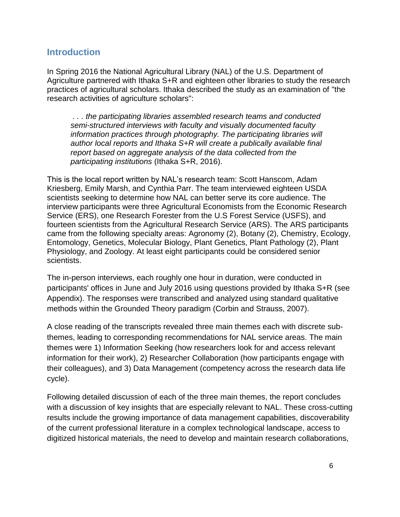### <span id="page-5-0"></span>**Introduction**

In Spring 2016 the National Agricultural Library (NAL) of the U.S. Department of Agriculture partnered with Ithaka S+R and eighteen other libraries to study the research practices of agricultural scholars. Ithaka described the study as an examination of "the research activities of agriculture scholars":

*. . . the participating libraries assembled research teams and conducted semi-structured interviews with faculty and visually documented faculty information practices through photography. The participating libraries will author local reports and Ithaka S+R will create a publically available final report based on aggregate analysis of the data collected from the participating institutions* (Ithaka S+R, 2016).

This is the local report written by NAL's research team: Scott Hanscom, Adam Kriesberg, Emily Marsh, and Cynthia Parr. The team interviewed eighteen USDA scientists seeking to determine how NAL can better serve its core audience. The interview participants were three Agricultural Economists from the Economic Research Service (ERS), one Research Forester from the U.S Forest Service (USFS), and fourteen scientists from the Agricultural Research Service (ARS). The ARS participants came from the following specialty areas: Agronomy (2), Botany (2), Chemistry, Ecology, Entomology, Genetics, Molecular Biology, Plant Genetics, Plant Pathology (2), Plant Physiology, and Zoology. At least eight participants could be considered senior scientists.

The in-person interviews, each roughly one hour in duration, were conducted in participants' offices in June and July 2016 using questions provided by Ithaka S+R (see Appendix). The responses were transcribed and analyzed using standard qualitative methods within the Grounded Theory paradigm (Corbin and Strauss, 2007).

A close reading of the transcripts revealed three main themes each with discrete subthemes, leading to corresponding recommendations for NAL service areas. The main themes were 1) Information Seeking (how researchers look for and access relevant information for their work), 2) Researcher Collaboration (how participants engage with their colleagues), and 3) Data Management (competency across the research data life cycle).

Following detailed discussion of each of the three main themes, the report concludes with a discussion of key insights that are especially relevant to NAL. These cross-cutting results include the growing importance of data management capabilities, discoverability of the current professional literature in a complex technological landscape, access to digitized historical materials, the need to develop and maintain research collaborations,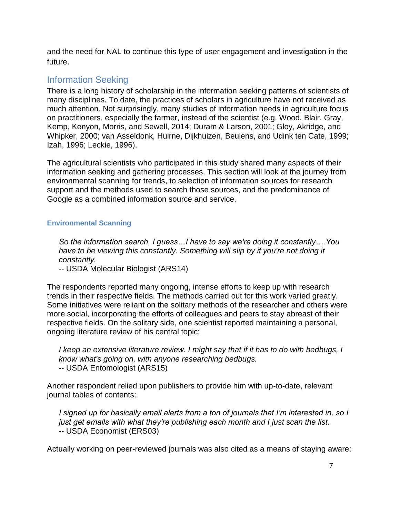and the need for NAL to continue this type of user engagement and investigation in the future.

# <span id="page-6-0"></span>Information Seeking

There is a long history of scholarship in the information seeking patterns of scientists of many disciplines. To date, the practices of scholars in agriculture have not received as much attention. Not surprisingly, many studies of information needs in agriculture focus on practitioners, especially the farmer, instead of the scientist (e.g. Wood, Blair, Gray, Kemp, Kenyon, Morris, and Sewell, 2014; Duram & Larson, 2001; Gloy, Akridge, and Whipker, 2000; van Asseldonk, Huirne, Dijkhuizen, Beulens, and Udink ten Cate, 1999; Izah, 1996; Leckie, 1996).

The agricultural scientists who participated in this study shared many aspects of their information seeking and gathering processes. This section will look at the journey from environmental scanning for trends, to selection of information sources for research support and the methods used to search those sources, and the predominance of Google as a combined information source and service.

#### **Environmental Scanning**

*So the information search, I guess…I have to say we're doing it constantly….You have to be viewing this constantly. Something will slip by if you're not doing it constantly.*

-- USDA Molecular Biologist (ARS14)

The respondents reported many ongoing, intense efforts to keep up with research trends in their respective fields. The methods carried out for this work varied greatly. Some initiatives were reliant on the solitary methods of the researcher and others were more social, incorporating the efforts of colleagues and peers to stay abreast of their respective fields. On the solitary side, one scientist reported maintaining a personal, ongoing literature review of his central topic:

*I keep an extensive literature review. I might say that if it has to do with bedbugs, I know what's going on, with anyone researching bedbugs.* -- USDA Entomologist (ARS15)

Another respondent relied upon publishers to provide him with up-to-date, relevant journal tables of contents:

*I signed up for basically email alerts from a ton of journals that I'm interested in, so I just get emails with what they're publishing each month and I just scan the list.* -- USDA Economist (ERS03)

Actually working on peer-reviewed journals was also cited as a means of staying aware: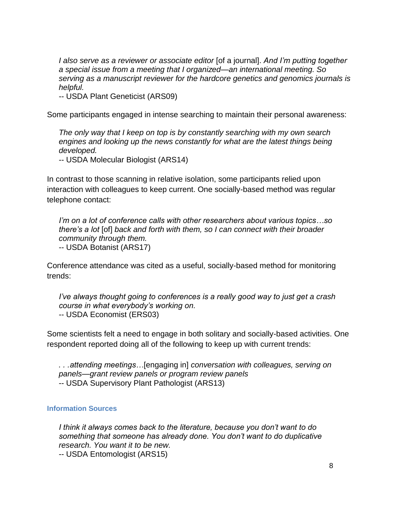*I also serve as a reviewer or associate editor* [of a journal]. *And I'm putting together a special issue from a meeting that I organized—an international meeting. So serving as a manuscript reviewer for the hardcore genetics and genomics journals is helpful.*

-- USDA Plant Geneticist (ARS09)

Some participants engaged in intense searching to maintain their personal awareness:

*The only way that I keep on top is by constantly searching with my own search*  engines and looking up the news constantly for what are the latest things being *developed.*

-- USDA Molecular Biologist (ARS14)

In contrast to those scanning in relative isolation, some participants relied upon interaction with colleagues to keep current. One socially-based method was regular telephone contact:

*I'm on a lot of conference calls with other researchers about various topics…so there's a lot* [of] *back and forth with them, so I can connect with their broader community through them.*

-- USDA Botanist (ARS17)

Conference attendance was cited as a useful, socially-based method for monitoring trends:

*I've always thought going to conferences is a really good way to just get a crash course in what everybody's working on.* -- USDA Economist (ERS03)

Some scientists felt a need to engage in both solitary and socially-based activities. One respondent reported doing all of the following to keep up with current trends:

*. . .attending meetings…*[engaging in] *conversation with colleagues, serving on panels—grant review panels or program review panels* -- USDA Supervisory Plant Pathologist (ARS13)

#### **Information Sources**

*I think it always comes back to the literature, because you don't want to do something that someone has already done. You don't want to do duplicative research. You want it to be new.* 

-- USDA Entomologist (ARS15)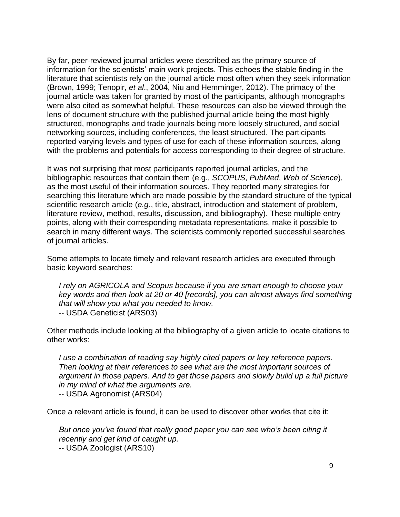By far, peer-reviewed journal articles were described as the primary source of information for the scientists' main work projects. This echoes the stable finding in the literature that scientists rely on the journal article most often when they seek information (Brown, 1999; Tenopir, *et al*., 2004, Niu and Hemminger, 2012). The primacy of the journal article was taken for granted by most of the participants, although monographs were also cited as somewhat helpful. These resources can also be viewed through the lens of document structure with the published journal article being the most highly structured, monographs and trade journals being more loosely structured, and social networking sources, including conferences, the least structured. The participants reported varying levels and types of use for each of these information sources, along with the problems and potentials for access corresponding to their degree of structure.

It was not surprising that most participants reported journal articles, and the bibliographic resources that contain them (e.g., *SCOPUS*, *PubMed*, *Web of Science*), as the most useful of their information sources. They reported many strategies for searching this literature which are made possible by the standard structure of the typical scientific research article (*e.g.*, title, abstract, introduction and statement of problem, literature review, method, results, discussion, and bibliography). These multiple entry points, along with their corresponding metadata representations, make it possible to search in many different ways. The scientists commonly reported successful searches of journal articles.

Some attempts to locate timely and relevant research articles are executed through basic keyword searches:

*I rely on AGRICOLA and Scopus because if you are smart enough to choose your key words and then look at 20 or 40 [records], you can almost always find something that will show you what you needed to know.* -- USDA Geneticist (ARS03)

Other methods include looking at the bibliography of a given article to locate citations to other works:

*I use a combination of reading say highly cited papers or key reference papers. Then looking at their references to see what are the most important sources of argument in those papers. And to get those papers and slowly build up a full picture in my mind of what the arguments are.*

-- USDA Agronomist (ARS04)

Once a relevant article is found, it can be used to discover other works that cite it:

*But once you've found that really good paper you can see who's been citing it recently and get kind of caught up.* -- USDA Zoologist (ARS10)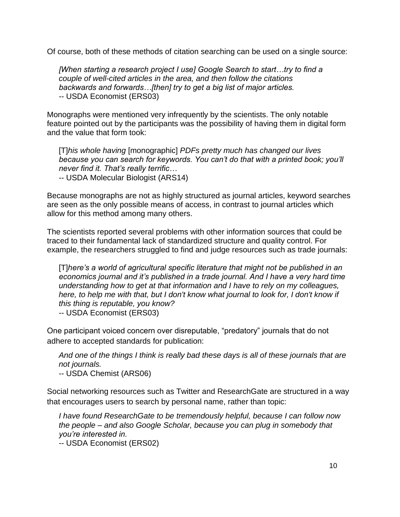Of course, both of these methods of citation searching can be used on a single source:

*[When starting a research project I use] Google Search to start…try to find a couple of well-cited articles in the area, and then follow the citations backwards and forwards…[then] try to get a big list of major articles.* -- USDA Economist (ERS03)

Monographs were mentioned very infrequently by the scientists. The only notable feature pointed out by the participants was the possibility of having them in digital form and the value that form took:

[T]*his whole having* [monographic] *PDFs pretty much has changed our lives because you can search for keywords. You can't do that with a printed book; you'll never find it. That's really terrific…* -- USDA Molecular Biologist (ARS14)

Because monographs are not as highly structured as journal articles, keyword searches are seen as the only possible means of access, in contrast to journal articles which allow for this method among many others.

The scientists reported several problems with other information sources that could be traced to their fundamental lack of standardized structure and quality control. For example, the researchers struggled to find and judge resources such as trade journals:

[T]*here's a world of agricultural specific literature that might not be published in an economics journal and it's published in a trade journal. And I have a very hard time understanding how to get at that information and I have to rely on my colleagues, here, to help me with that, but I don't know what journal to look for, I don't know if this thing is reputable, you know?*

-- USDA Economist (ERS03)

One participant voiced concern over disreputable, "predatory" journals that do not adhere to accepted standards for publication:

*And one of the things I think is really bad these days is all of these journals that are not journals.*

-- USDA Chemist (ARS06)

Social networking resources such as Twitter and ResearchGate are structured in a way that encourages users to search by personal name, rather than topic:

*I have found ResearchGate to be tremendously helpful, because I can follow now the people – and also Google Scholar, because you can plug in somebody that you're interested in.*

-- USDA Economist (ERS02)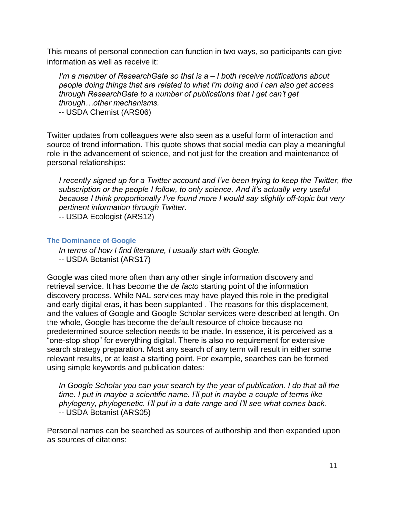This means of personal connection can function in two ways, so participants can give information as well as receive it:

*I'm a member of ResearchGate so that is a – I both receive notifications about people doing things that are related to what I'm doing and I can also get access through ResearchGate to a number of publications that I get can't get through…other mechanisms.*

-- USDA Chemist (ARS06)

Twitter updates from colleagues were also seen as a useful form of interaction and source of trend information. This quote shows that social media can play a meaningful role in the advancement of science, and not just for the creation and maintenance of personal relationships:

*I* recently signed up for a Twitter account and I've been trying to keep the Twitter, the *subscription or the people I follow, to only science. And it's actually very useful because I think proportionally I've found more I would say slightly off-topic but very pertinent information through Twitter.*

-- USDA Ecologist (ARS12)

#### **The Dominance of Google**

*In terms of how I find literature, I usually start with Google.* -- USDA Botanist (ARS17)

Google was cited more often than any other single information discovery and retrieval service. It has become the *de facto* starting point of the information discovery process. While NAL services may have played this role in the predigital and early digital eras, it has been supplanted . The reasons for this displacement, and the values of Google and Google Scholar services were described at length. On the whole, Google has become the default resource of choice because no predetermined source selection needs to be made. In essence, it is perceived as a "one-stop shop" for everything digital. There is also no requirement for extensive search strategy preparation. Most any search of any term will result in either some relevant results, or at least a starting point. For example, searches can be formed using simple keywords and publication dates:

*In Google Scholar you can your search by the year of publication. I do that all the time. I put in maybe a scientific name. I'll put in maybe a couple of terms like phylogeny, phylogenetic. I'll put in a date range and I'll see what comes back.* -- USDA Botanist (ARS05)

Personal names can be searched as sources of authorship and then expanded upon as sources of citations: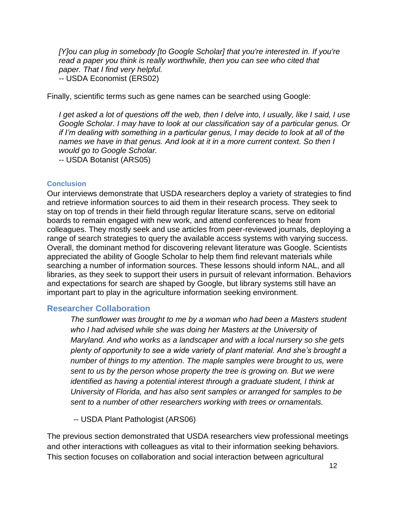*[Y]ou can plug in somebody [to Google Scholar] that you're interested in. If you're read a paper you think is really worthwhile, then you can see who cited that paper. That I find very helpful.* -- USDA Economist (ERS02)

Finally, scientific terms such as gene names can be searched using Google:

*I get asked a lot of questions off the web, then I delve into, I usually, like I said, I use Google Scholar. I may have to look at our classification say of a particular genus. Or if I'm dealing with something in a particular genus, I may decide to look at all of the names we have in that genus. And look at it in a more current context. So then I would go to Google Scholar.*

-- USDA Botanist (ARS05)

#### **Conclusion**

Our interviews demonstrate that USDA researchers deploy a variety of strategies to find and retrieve information sources to aid them in their research process. They seek to stay on top of trends in their field through regular literature scans, serve on editorial boards to remain engaged with new work, and attend conferences to hear from colleagues. They mostly seek and use articles from peer-reviewed journals, deploying a range of search strategies to query the available access systems with varying success. Overall, the dominant method for discovering relevant literature was Google. Scientists appreciated the ability of Google Scholar to help them find relevant materials while searching a number of information sources. These lessons should inform NAL, and all libraries, as they seek to support their users in pursuit of relevant information. Behaviors and expectations for search are shaped by Google, but library systems still have an important part to play in the agriculture information seeking environment.

#### <span id="page-11-0"></span>**Researcher Collaboration**

*The sunflower was brought to me by a woman who had been a Masters student who I had advised while she was doing her Masters at the University of Maryland. And who works as a landscaper and with a local nursery so she gets plenty of opportunity to see a wide variety of plant material. And she's brought a number of things to my attention. The maple samples were brought to us, were sent to us by the person whose property the tree is growing on. But we were identified as having a potential interest through a graduate student, I think at University of Florida, and has also sent samples or arranged for samples to be sent to a number of other researchers working with trees or ornamentals.*

-- USDA Plant Pathologist (ARS06)

The previous section demonstrated that USDA researchers view professional meetings and other interactions with colleagues as vital to their information seeking behaviors. This section focuses on collaboration and social interaction between agricultural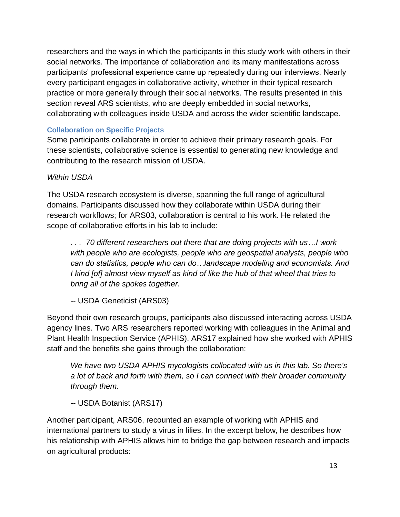researchers and the ways in which the participants in this study work with others in their social networks. The importance of collaboration and its many manifestations across participants' professional experience came up repeatedly during our interviews. Nearly every participant engages in collaborative activity, whether in their typical research practice or more generally through their social networks. The results presented in this section reveal ARS scientists, who are deeply embedded in social networks, collaborating with colleagues inside USDA and across the wider scientific landscape.

#### **Collaboration on Specific Projects**

Some participants collaborate in order to achieve their primary research goals. For these scientists, collaborative science is essential to generating new knowledge and contributing to the research mission of USDA.

### *Within USDA*

The USDA research ecosystem is diverse, spanning the full range of agricultural domains. Participants discussed how they collaborate within USDA during their research workflows; for ARS03, collaboration is central to his work. He related the scope of collaborative efforts in his lab to include:

*. . . 70 different researchers out there that are doing projects with us…I work with people who are ecologists, people who are geospatial analysts, people who can do statistics, people who can do…landscape modeling and economists. And I kind [of] almost view myself as kind of like the hub of that wheel that tries to bring all of the spokes together.*

-- USDA Geneticist (ARS03)

Beyond their own research groups, participants also discussed interacting across USDA agency lines. Two ARS researchers reported working with colleagues in the Animal and Plant Health Inspection Service (APHIS). ARS17 explained how she worked with APHIS staff and the benefits she gains through the collaboration:

*We have two USDA APHIS mycologists collocated with us in this lab. So there's a lot of back and forth with them, so I can connect with their broader community through them.*

-- USDA Botanist (ARS17)

Another participant, ARS06, recounted an example of working with APHIS and international partners to study a virus in lilies. In the excerpt below, he describes how his relationship with APHIS allows him to bridge the gap between research and impacts on agricultural products: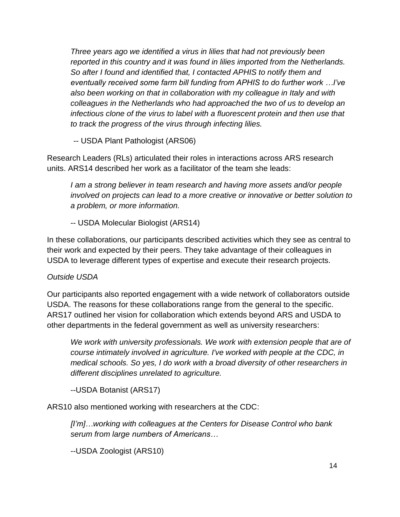*Three years ago we identified a virus in lilies that had not previously been reported in this country and it was found in lilies imported from the Netherlands. So after I found and identified that, I contacted APHIS to notify them and eventually received some farm bill funding from APHIS to do further work …I've also been working on that in collaboration with my colleague in Italy and with colleagues in the Netherlands who had approached the two of us to develop an infectious clone of the virus to label with a fluorescent protein and then use that to track the progress of the virus through infecting lilies.*

-- USDA Plant Pathologist (ARS06)

Research Leaders (RLs) articulated their roles in interactions across ARS research units. ARS14 described her work as a facilitator of the team she leads:

*I am a strong believer in team research and having more assets and/or people involved on projects can lead to a more creative or innovative or better solution to a problem, or more information.* 

-- USDA Molecular Biologist (ARS14)

In these collaborations, our participants described activities which they see as central to their work and expected by their peers. They take advantage of their colleagues in USDA to leverage different types of expertise and execute their research projects.

### *Outside USDA*

Our participants also reported engagement with a wide network of collaborators outside USDA. The reasons for these collaborations range from the general to the specific. ARS17 outlined her vision for collaboration which extends beyond ARS and USDA to other departments in the federal government as well as university researchers:

*We work with university professionals. We work with extension people that are of course intimately involved in agriculture. I've worked with people at the CDC, in medical schools. So yes, I do work with a broad diversity of other researchers in different disciplines unrelated to agriculture.*

--USDA Botanist (ARS17)

ARS10 also mentioned working with researchers at the CDC:

*[I'm]…working with colleagues at the Centers for Disease Control who bank serum from large numbers of Americans…*

--USDA Zoologist (ARS10)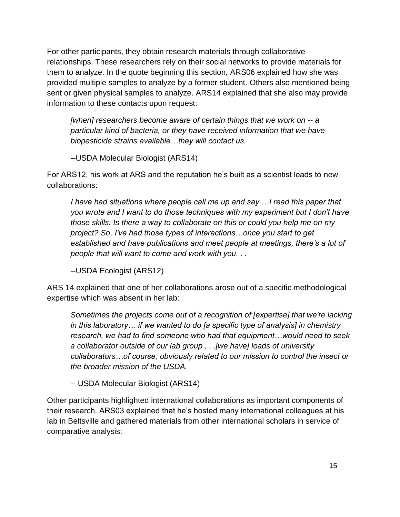For other participants, they obtain research materials through collaborative relationships. These researchers rely on their social networks to provide materials for them to analyze. In the quote beginning this section, ARS06 explained how she was provided multiple samples to analyze by a former student. Others also mentioned being sent or given physical samples to analyze. ARS14 explained that she also may provide information to these contacts upon request:

*[when] researchers become aware of certain things that we work on -- a particular kind of bacteria, or they have received information that we have biopesticide strains available…they will contact us.*

--USDA Molecular Biologist (ARS14)

For ARS12, his work at ARS and the reputation he's built as a scientist leads to new collaborations:

*I have had situations where people call me up and say ... I read this paper that you wrote and I want to do those techniques with my experiment but I don't have those skills. Is there a way to collaborate on this or could you help me on my project? So, I've had those types of interactions…once you start to get*  established and have publications and meet people at meetings, there's a lot of *people that will want to come and work with you. . .*

--USDA Ecologist (ARS12)

ARS 14 explained that one of her collaborations arose out of a specific methodological expertise which was absent in her lab:

*Sometimes the projects come out of a recognition of [expertise] that we're lacking in this laboratory… if we wanted to do [a specific type of analysis] in chemistry research, we had to find someone who had that equipment…would need to seek a collaborator outside of our lab group . . .[we have] loads of university collaborators…of course, obviously related to our mission to control the insect or the broader mission of the USDA.*

-- USDA Molecular Biologist (ARS14)

Other participants highlighted international collaborations as important components of their research. ARS03 explained that he's hosted many international colleagues at his lab in Beltsville and gathered materials from other international scholars in service of comparative analysis: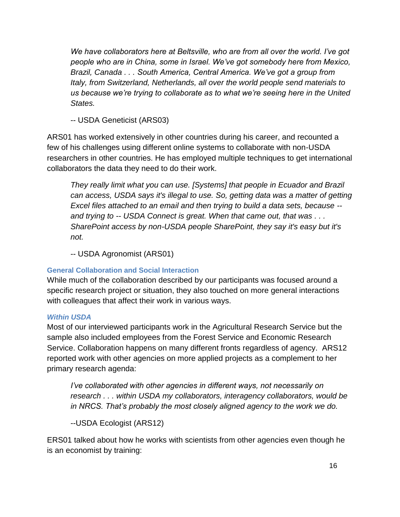*We have collaborators here at Beltsville, who are from all over the world. I've got people who are in China, some in Israel. We've got somebody here from Mexico, Brazil, Canada . . . South America, Central America. We've got a group from Italy, from Switzerland, Netherlands, all over the world people send materials to us because we're trying to collaborate as to what we're seeing here in the United States.*

-- USDA Geneticist (ARS03)

ARS01 has worked extensively in other countries during his career, and recounted a few of his challenges using different online systems to collaborate with non-USDA researchers in other countries. He has employed multiple techniques to get international collaborators the data they need to do their work.

*They really limit what you can use. [Systems] that people in Ecuador and Brazil can access, USDA says it's illegal to use. So, getting data was a matter of getting Excel files attached to an email and then trying to build a data sets, because - and trying to -- USDA Connect is great. When that came out, that was . . . SharePoint access by non-USDA people SharePoint, they say it's easy but it's not.*

-- USDA Agronomist (ARS01)

### **General Collaboration and Social Interaction**

While much of the collaboration described by our participants was focused around a specific research project or situation, they also touched on more general interactions with colleagues that affect their work in various ways.

### *Within USDA*

Most of our interviewed participants work in the Agricultural Research Service but the sample also included employees from the Forest Service and Economic Research Service. Collaboration happens on many different fronts regardless of agency. ARS12 reported work with other agencies on more applied projects as a complement to her primary research agenda:

*I've collaborated with other agencies in different ways, not necessarily on research . . . within USDA my collaborators, interagency collaborators, would be in NRCS. That's probably the most closely aligned agency to the work we do.*

--USDA Ecologist (ARS12)

ERS01 talked about how he works with scientists from other agencies even though he is an economist by training: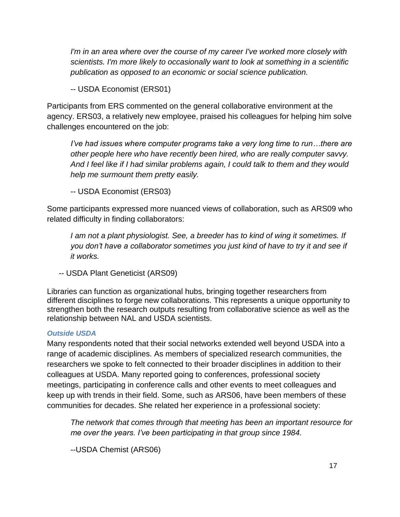*I'm in an area where over the course of my career I've worked more closely with scientists. I'm more likely to occasionally want to look at something in a scientific publication as opposed to an economic or social science publication.* 

-- USDA Economist (ERS01)

Participants from ERS commented on the general collaborative environment at the agency. ERS03, a relatively new employee, praised his colleagues for helping him solve challenges encountered on the job:

*I've had issues where computer programs take a very long time to run...there are other people here who have recently been hired, who are really computer savvy. And I feel like if I had similar problems again, I could talk to them and they would help me surmount them pretty easily.*

-- USDA Economist (ERS03)

Some participants expressed more nuanced views of collaboration, such as ARS09 who related difficulty in finding collaborators:

*I am not a plant physiologist. See, a breeder has to kind of wing it sometimes. If you don't have a collaborator sometimes you just kind of have to try it and see if it works.*

-- USDA Plant Geneticist (ARS09)

Libraries can function as organizational hubs, bringing together researchers from different disciplines to forge new collaborations. This represents a unique opportunity to strengthen both the research outputs resulting from collaborative science as well as the relationship between NAL and USDA scientists.

### *Outside USDA*

Many respondents noted that their social networks extended well beyond USDA into a range of academic disciplines. As members of specialized research communities, the researchers we spoke to felt connected to their broader disciplines in addition to their colleagues at USDA. Many reported going to conferences, professional society meetings, participating in conference calls and other events to meet colleagues and keep up with trends in their field. Some, such as ARS06, have been members of these communities for decades. She related her experience in a professional society:

*The network that comes through that meeting has been an important resource for me over the years. I've been participating in that group since 1984.*

--USDA Chemist (ARS06)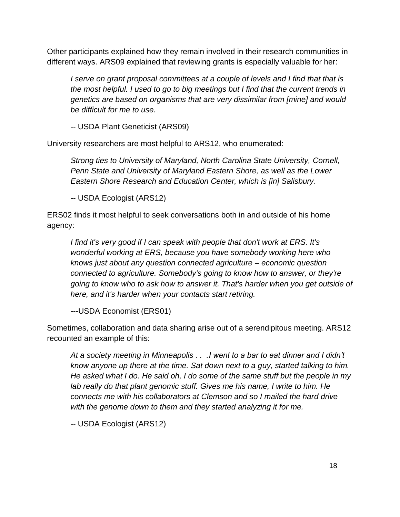Other participants explained how they remain involved in their research communities in different ways. ARS09 explained that reviewing grants is especially valuable for her:

*I serve on grant proposal committees at a couple of levels and I find that that is the most helpful. I used to go to big meetings but I find that the current trends in genetics are based on organisms that are very dissimilar from [mine] and would be difficult for me to use.*

-- USDA Plant Geneticist (ARS09)

University researchers are most helpful to ARS12, who enumerated:

*Strong ties to University of Maryland, North Carolina State University, Cornell, Penn State and University of Maryland Eastern Shore, as well as the Lower Eastern Shore Research and Education Center, which is [in] Salisbury.*

-- USDA Ecologist (ARS12)

ERS02 finds it most helpful to seek conversations both in and outside of his home agency:

*I find it's very good if I can speak with people that don't work at ERS. It's wonderful working at ERS, because you have somebody working here who knows just about any question connected agriculture – economic question connected to agriculture. Somebody's going to know how to answer, or they're going to know who to ask how to answer it. That's harder when you get outside of here, and it's harder when your contacts start retiring.*

---USDA Economist (ERS01)

Sometimes, collaboration and data sharing arise out of a serendipitous meeting. ARS12 recounted an example of this:

*At a society meeting in Minneapolis . . .I went to a bar to eat dinner and I didn't know anyone up there at the time. Sat down next to a guy, started talking to him. He asked what I do. He said oh, I do some of the same stuff but the people in my lab really do that plant genomic stuff. Gives me his name, I write to him. He connects me with his collaborators at Clemson and so I mailed the hard drive with the genome down to them and they started analyzing it for me.*

-- USDA Ecologist (ARS12)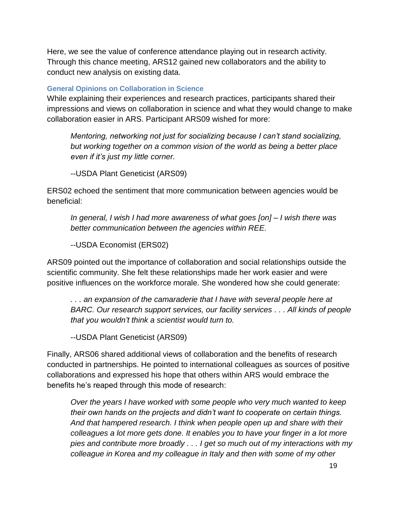Here, we see the value of conference attendance playing out in research activity. Through this chance meeting, ARS12 gained new collaborators and the ability to conduct new analysis on existing data.

#### **General Opinions on Collaboration in Science**

While explaining their experiences and research practices, participants shared their impressions and views on collaboration in science and what they would change to make collaboration easier in ARS. Participant ARS09 wished for more:

*Mentoring, networking not just for socializing because I can't stand socializing, but working together on a common vision of the world as being a better place even if it's just my little corner.*

--USDA Plant Geneticist (ARS09)

ERS02 echoed the sentiment that more communication between agencies would be beneficial:

*In general, I wish I had more awareness of what goes [on] – I wish there was better communication between the agencies within REE.* 

--USDA Economist (ERS02)

ARS09 pointed out the importance of collaboration and social relationships outside the scientific community. She felt these relationships made her work easier and were positive influences on the workforce morale. She wondered how she could generate:

*. . . an expansion of the camaraderie that I have with several people here at BARC. Our research support services, our facility services . . . All kinds of people that you wouldn't think a scientist would turn to.*

--USDA Plant Geneticist (ARS09)

Finally, ARS06 shared additional views of collaboration and the benefits of research conducted in partnerships. He pointed to international colleagues as sources of positive collaborations and expressed his hope that others within ARS would embrace the benefits he's reaped through this mode of research:

*Over the years I have worked with some people who very much wanted to keep their own hands on the projects and didn't want to cooperate on certain things. And that hampered research. I think when people open up and share with their colleagues a lot more gets done. It enables you to have your finger in a lot more pies and contribute more broadly . . . I get so much out of my interactions with my colleague in Korea and my colleague in Italy and then with some of my other*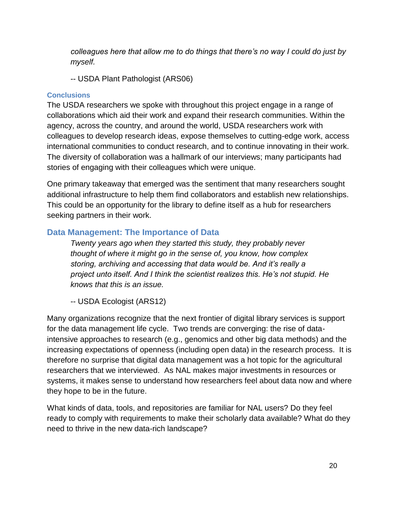*colleagues here that allow me to do things that there's no way I could do just by myself.*

-- USDA Plant Pathologist (ARS06)

#### **Conclusions**

The USDA researchers we spoke with throughout this project engage in a range of collaborations which aid their work and expand their research communities. Within the agency, across the country, and around the world, USDA researchers work with colleagues to develop research ideas, expose themselves to cutting-edge work, access international communities to conduct research, and to continue innovating in their work. The diversity of collaboration was a hallmark of our interviews; many participants had stories of engaging with their colleagues which were unique.

One primary takeaway that emerged was the sentiment that many researchers sought additional infrastructure to help them find collaborators and establish new relationships. This could be an opportunity for the library to define itself as a hub for researchers seeking partners in their work.

### <span id="page-19-0"></span>**Data Management: The Importance of Data**

*Twenty years ago when they started this study, they probably never thought of where it might go in the sense of, you know, how complex storing, archiving and accessing that data would be. And it's really a project unto itself. And I think the scientist realizes this. He's not stupid. He knows that this is an issue.*

-- USDA Ecologist (ARS12)

Many organizations recognize that the next frontier of digital library services is support for the data management life cycle. Two trends are converging: the rise of dataintensive approaches to research (e.g., genomics and other big data methods) and the increasing expectations of openness (including open data) in the research process. It is therefore no surprise that digital data management was a hot topic for the agricultural researchers that we interviewed. As NAL makes major investments in resources or systems, it makes sense to understand how researchers feel about data now and where they hope to be in the future.

What kinds of data, tools, and repositories are familiar for NAL users? Do they feel ready to comply with requirements to make their scholarly data available? What do they need to thrive in the new data-rich landscape?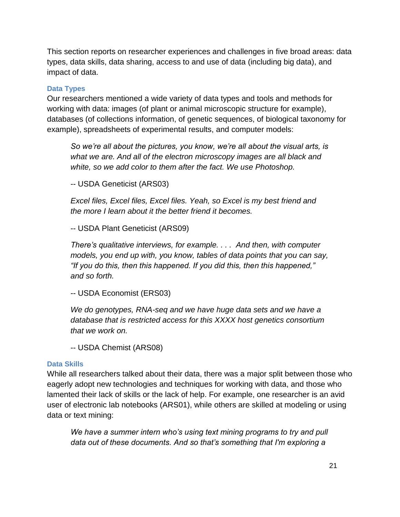This section reports on researcher experiences and challenges in five broad areas: data types, data skills, data sharing, access to and use of data (including big data), and impact of data.

#### **Data Types**

Our researchers mentioned a wide variety of data types and tools and methods for working with data: images (of plant or animal microscopic structure for example), databases (of collections information, of genetic sequences, of biological taxonomy for example), spreadsheets of experimental results, and computer models:

*So we're all about the pictures, you know, we're all about the visual arts, is what we are. And all of the electron microscopy images are all black and white, so we add color to them after the fact. We use Photoshop.*

-- USDA Geneticist (ARS03)

*Excel files, Excel files, Excel files. Yeah, so Excel is my best friend and the more I learn about it the better friend it becomes.*

-- USDA Plant Geneticist (ARS09)

*There's qualitative interviews, for example. . . . And then, with computer models, you end up with, you know, tables of data points that you can say, "If you do this, then this happened. If you did this, then this happened," and so forth.*

-- USDA Economist (ERS03)

*We do genotypes, RNA-seq and we have huge data sets and we have a database that is restricted access for this XXXX host genetics consortium that we work on.*

-- USDA Chemist (ARS08)

#### **Data Skills**

While all researchers talked about their data, there was a major split between those who eagerly adopt new technologies and techniques for working with data, and those who lamented their lack of skills or the lack of help. For example, one researcher is an avid user of electronic lab notebooks (ARS01), while others are skilled at modeling or using data or text mining:

*We have a summer intern who's using text mining programs to try and pull data out of these documents. And so that's something that I'm exploring a*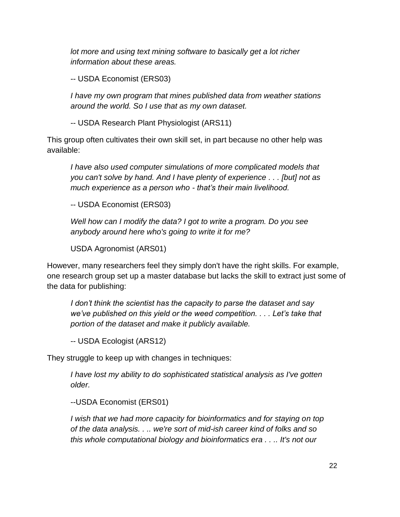*lot more and using text mining software to basically get a lot richer information about these areas.*

-- USDA Economist (ERS03)

*I have my own program that mines published data from weather stations around the world. So I use that as my own dataset.*

-- USDA Research Plant Physiologist (ARS11)

This group often cultivates their own skill set, in part because no other help was available:

*I have also used computer simulations of more complicated models that you can't solve by hand. And I have plenty of experience . . . [but] not as much experience as a person who - that's their main livelihood.*

-- USDA Economist (ERS03)

*Well how can I modify the data? I got to write a program. Do you see anybody around here who's going to write it for me?*

USDA Agronomist (ARS01)

However, many researchers feel they simply don't have the right skills. For example, one research group set up a master database but lacks the skill to extract just some of the data for publishing:

*I don't think the scientist has the capacity to parse the dataset and say we've published on this yield or the weed competition. . . . Let's take that portion of the dataset and make it publicly available.*

-- USDA Ecologist (ARS12)

They struggle to keep up with changes in techniques:

*I have lost my ability to do sophisticated statistical analysis as I've gotten older.*

--USDA Economist (ERS01)

*I wish that we had more capacity for bioinformatics and for staying on top of the data analysis. . .. we're sort of mid-ish career kind of folks and so this whole computational biology and bioinformatics era . . .. It's not our*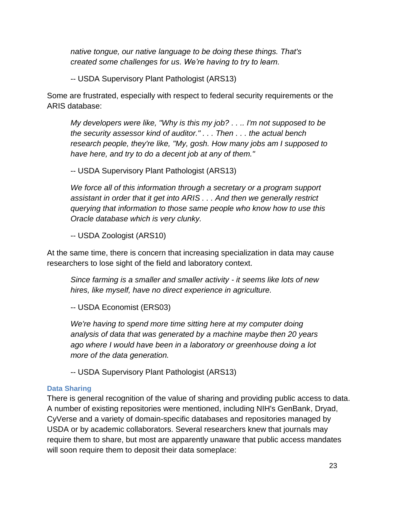*native tongue, our native language to be doing these things. That's created some challenges for us. We're having to try to learn.*

-- USDA Supervisory Plant Pathologist (ARS13)

Some are frustrated, especially with respect to federal security requirements or the ARIS database:

*My developers were like, "Why is this my job? . . .. I'm not supposed to be the security assessor kind of auditor." . . . Then . . . the actual bench research people, they're like, "My, gosh. How many jobs am I supposed to have here, and try to do a decent job at any of them."*

-- USDA Supervisory Plant Pathologist (ARS13)

*We force all of this information through a secretary or a program support assistant in order that it get into ARIS . . . And then we generally restrict querying that information to those same people who know how to use this Oracle database which is very clunky.*

-- USDA Zoologist (ARS10)

At the same time, there is concern that increasing specialization in data may cause researchers to lose sight of the field and laboratory context.

*Since farming is a smaller and smaller activity - it seems like lots of new hires, like myself, have no direct experience in agriculture.*

-- USDA Economist (ERS03)

*We're having to spend more time sitting here at my computer doing analysis of data that was generated by a machine maybe then 20 years ago where I would have been in a laboratory or greenhouse doing a lot more of the data generation.*

-- USDA Supervisory Plant Pathologist (ARS13)

#### **Data Sharing**

There is general recognition of the value of sharing and providing public access to data. A number of existing repositories were mentioned, including NIH's GenBank, Dryad, CyVerse and a variety of domain-specific databases and repositories managed by USDA or by academic collaborators. Several researchers knew that journals may require them to share, but most are apparently unaware that public access mandates will soon require them to deposit their data someplace: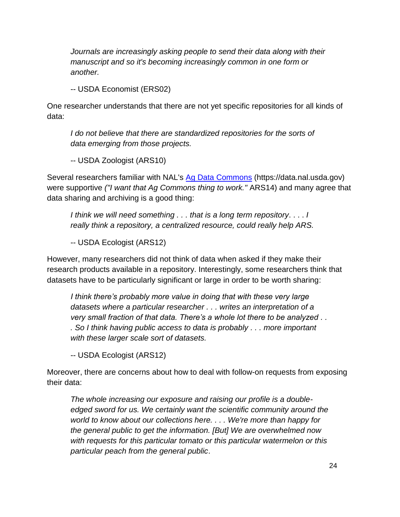*Journals are increasingly asking people to send their data along with their manuscript and so it's becoming increasingly common in one form or another.*

-- USDA Economist (ERS02)

One researcher understands that there are not yet specific repositories for all kinds of data:

*I do not believe that there are standardized repositories for the sorts of data emerging from those projects.*

-- USDA Zoologist (ARS10)

Several researchers familiar with NAL's [Ag Data Commons](https://data.nal.usda.gov/) (https://data.nal.usda.gov) were supportive *("I want that Ag Commons thing to work."* ARS14) and many agree that data sharing and archiving is a good thing:

*I think we will need something . . . that is a long term repository*. . . . *I really think a repository, a centralized resource, could really help ARS.*

-- USDA Ecologist (ARS12)

However, many researchers did not think of data when asked if they make their research products available in a repository. Interestingly, some researchers think that datasets have to be particularly significant or large in order to be worth sharing:

*I think there's probably more value in doing that with these very large datasets where a particular researcher . . . writes an interpretation of a very small fraction of that data. There's a whole lot there to be analyzed . . . So I think having public access to data is probably . . . more important with these larger scale sort of datasets.*

-- USDA Ecologist (ARS12)

Moreover, there are concerns about how to deal with follow-on requests from exposing their data:

*The whole increasing our exposure and raising our profile is a doubleedged sword for us. We certainly want the scientific community around the world to know about our collections here. . . . We're more than happy for the general public to get the information. [But] We are overwhelmed now with requests for this particular tomato or this particular watermelon or this particular peach from the general public*.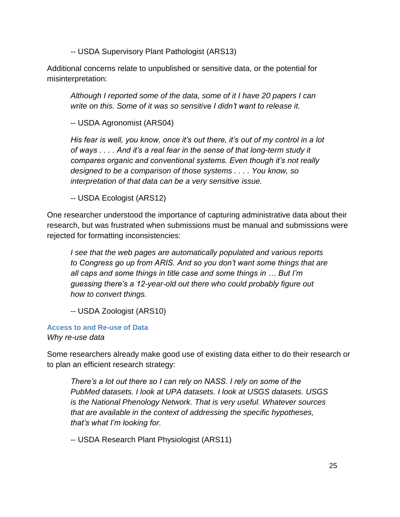-- USDA Supervisory Plant Pathologist (ARS13)

Additional concerns relate to unpublished or sensitive data, or the potential for misinterpretation:

*Although I reported some of the data, some of it I have 20 papers I can write on this. Some of it was so sensitive I didn't want to release it.*

-- USDA Agronomist (ARS04)

*His fear is well, you know, once it's out there, it's out of my control in a lot of ways . . . . And it's a real fear in the sense of that long-term study it compares organic and conventional systems. Even though it's not really designed to be a comparison of those systems . . . . You know, so interpretation of that data can be a very sensitive issue.*

-- USDA Ecologist (ARS12)

One researcher understood the importance of capturing administrative data about their research, but was frustrated when submissions must be manual and submissions were rejected for formatting inconsistencies:

*I see that the web pages are automatically populated and various reports to Congress go up from ARIS. And so you don't want some things that are all caps and some things in title case and some things in … But I'm guessing there's a 12-year-old out there who could probably figure out how to convert things.*

-- USDA Zoologist (ARS10)

**Access to and Re-use of Data** *Why re-use data*

Some researchers already make good use of existing data either to do their research or to plan an efficient research strategy:

*There's a lot out there so I can rely on NASS. I rely on some of the PubMed datasets. I look at UPA datasets. I look at USGS datasets. USGS is the National Phenology Network. That is very useful. Whatever sources that are available in the context of addressing the specific hypotheses, that's what I'm looking for.*

-- USDA Research Plant Physiologist (ARS11)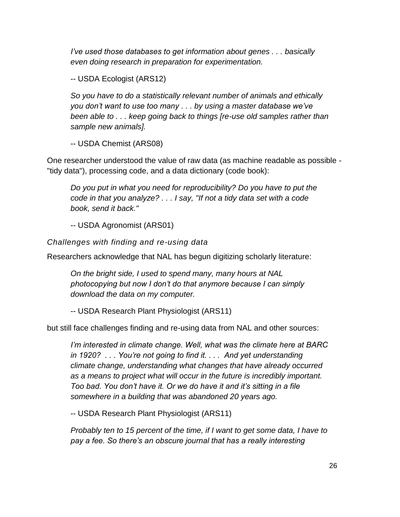*I've used those databases to get information about genes . . . basically even doing research in preparation for experimentation.*

-- USDA Ecologist (ARS12)

*So you have to do a statistically relevant number of animals and ethically you don't want to use too many . . . by using a master database we've been able to . . . keep going back to things [re-use old samples rather than sample new animals].*

-- USDA Chemist (ARS08)

One researcher understood the value of raw data (as machine readable as possible - "tidy data"), processing code, and a data dictionary (code book):

*Do you put in what you need for reproducibility? Do you have to put the code in that you analyze? . . . I say, "If not a tidy data set with a code book, send it back."*

-- USDA Agronomist (ARS01)

*Challenges with finding and re-using data*

Researchers acknowledge that NAL has begun digitizing scholarly literature:

*On the bright side, I used to spend many, many hours at NAL photocopying but now I don't do that anymore because I can simply download the data on my computer.*

-- USDA Research Plant Physiologist (ARS11)

but still face challenges finding and re-using data from NAL and other sources:

*I'm interested in climate change. Well, what was the climate here at BARC in 1920? . . . You're not going to find it. . . . And yet understanding climate change, understanding what changes that have already occurred as a means to project what will occur in the future is incredibly important. Too bad. You don't have it. Or we do have it and it's sitting in a file somewhere in a building that was abandoned 20 years ago.*

-- USDA Research Plant Physiologist (ARS11)

*Probably ten to 15 percent of the time, if I want to get some data, I have to pay a fee. So there's an obscure journal that has a really interesting*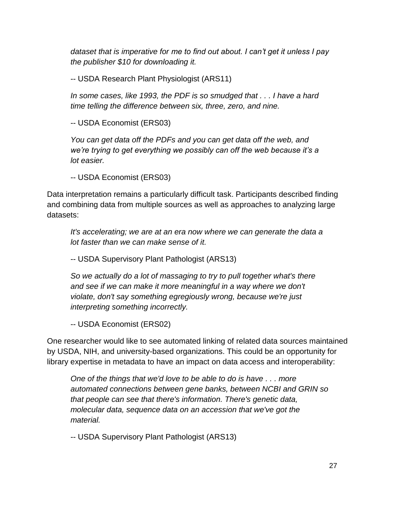*dataset that is imperative for me to find out about. I can't get it unless I pay the publisher \$10 for downloading it.*

-- USDA Research Plant Physiologist (ARS11)

*In some cases, like 1993, the PDF is so smudged that . . . I have a hard time telling the difference between six, three, zero, and nine.*

-- USDA Economist (ERS03)

*You can get data off the PDFs and you can get data off the web, and we're trying to get everything we possibly can off the web because it's a lot easier.*

-- USDA Economist (ERS03)

Data interpretation remains a particularly difficult task. Participants described finding and combining data from multiple sources as well as approaches to analyzing large datasets:

*It's accelerating; we are at an era now where we can generate the data a lot faster than we can make sense of it.*

-- USDA Supervisory Plant Pathologist (ARS13)

*So we actually do a lot of massaging to try to pull together what's there and see if we can make it more meaningful in a way where we don't violate, don't say something egregiously wrong, because we're just interpreting something incorrectly.*

-- USDA Economist (ERS02)

One researcher would like to see automated linking of related data sources maintained by USDA, NIH, and university-based organizations. This could be an opportunity for library expertise in metadata to have an impact on data access and interoperability:

*One of the things that we'd love to be able to do is have . . . more automated connections between gene banks, between NCBI and GRIN so that people can see that there's information. There's genetic data, molecular data, sequence data on an accession that we've got the material.*

-- USDA Supervisory Plant Pathologist (ARS13)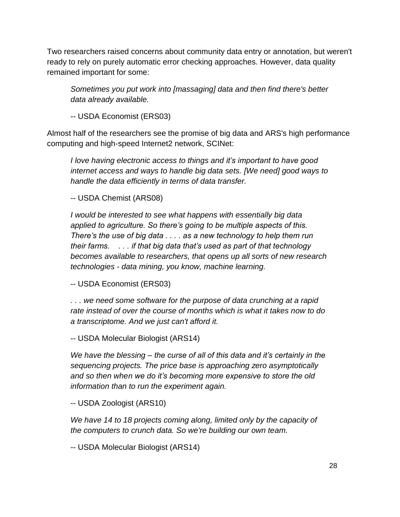Two researchers raised concerns about community data entry or annotation, but weren't ready to rely on purely automatic error checking approaches. However, data quality remained important for some:

*Sometimes you put work into [massaging] data and then find there's better data already available.*

-- USDA Economist (ERS03)

Almost half of the researchers see the promise of big data and ARS's high performance computing and high-speed Internet2 network, SCINet:

*I love having electronic access to things and it's important to have good internet access and ways to handle big data sets. [We need] good ways to handle the data efficiently in terms of data transfer.*

-- USDA Chemist (ARS08)

*I would be interested to see what happens with essentially big data applied to agriculture. So there's going to be multiple aspects of this. There's the use of big data . . . . as a new technology to help them run their farms. . . . if that big data that's used as part of that technology becomes available to researchers, that opens up all sorts of new research technologies - data mining, you know, machine learning.*

-- USDA Economist (ERS03)

*. . . we need some software for the purpose of data crunching at a rapid rate instead of over the course of months which is what it takes now to do a transcriptome. And we just can't afford it.*

-- USDA Molecular Biologist (ARS14)

*We have the blessing – the curse of all of this data and it's certainly in the sequencing projects. The price base is approaching zero asymptotically and so then when we do it's becoming more expensive to store the old information than to run the experiment again.*

-- USDA Zoologist (ARS10)

*We have 14 to 18 projects coming along, limited only by the capacity of the computers to crunch data. So we're building our own team.*

-- USDA Molecular Biologist (ARS14)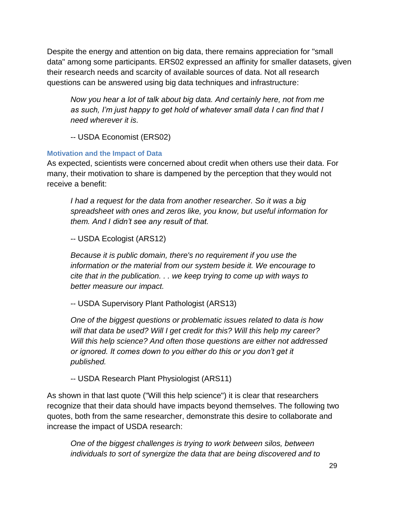Despite the energy and attention on big data, there remains appreciation for "small data" among some participants. ERS02 expressed an affinity for smaller datasets, given their research needs and scarcity of available sources of data. Not all research questions can be answered using big data techniques and infrastructure:

*Now you hear a lot of talk about big data. And certainly here, not from me as such, I'm just happy to get hold of whatever small data I can find that I need wherever it is.*

-- USDA Economist (ERS02)

### **Motivation and the Impact of Data**

As expected, scientists were concerned about credit when others use their data. For many, their motivation to share is dampened by the perception that they would not receive a benefit:

*I had a request for the data from another researcher. So it was a big spreadsheet with ones and zeros like, you know, but useful information for them. And I didn't see any result of that.*

-- USDA Ecologist (ARS12)

*Because it is public domain, there's no requirement if you use the information or the material from our system beside it. We encourage to cite that in the publication. . . we keep trying to come up with ways to better measure our impact.*

-- USDA Supervisory Plant Pathologist (ARS13)

*One of the biggest questions or problematic issues related to data is how will that data be used? Will I get credit for this? Will this help my career? Will this help science? And often those questions are either not addressed or ignored. It comes down to you either do this or you don't get it published.*

-- USDA Research Plant Physiologist (ARS11)

As shown in that last quote ("Will this help science") it is clear that researchers recognize that their data should have impacts beyond themselves. The following two quotes, both from the same researcher, demonstrate this desire to collaborate and increase the impact of USDA research:

*One of the biggest challenges is trying to work between silos, between individuals to sort of synergize the data that are being discovered and to*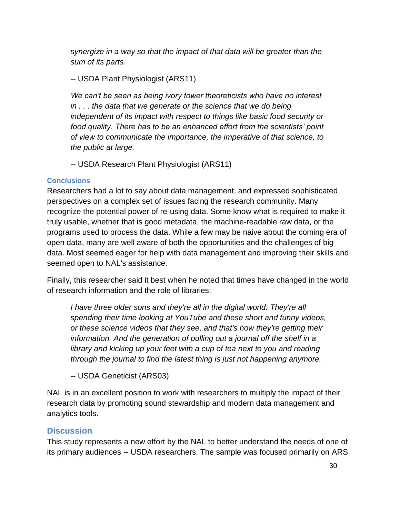*synergize in a way so that the impact of that data will be greater than the sum of its parts*.

-- USDA Plant Physiologist (ARS11)

*We can't be seen as being ivory tower theoreticists who have no interest in . . . the data that we generate or the science that we do being independent of its impact with respect to things like basic food security or food quality. There has to be an enhanced effort from the scientists' point of view to communicate the importance, the imperative of that science, to the public at large.*

-- USDA Research Plant Physiologist (ARS11)

### **Conclusions**

Researchers had a lot to say about data management, and expressed sophisticated perspectives on a complex set of issues facing the research community. Many recognize the potential power of re-using data. Some know what is required to make it truly usable, whether that is good metadata, the machine-readable raw data, or the programs used to process the data. While a few may be naive about the coming era of open data, many are well aware of both the opportunities and the challenges of big data. Most seemed eager for help with data management and improving their skills and seemed open to NAL's assistance.

Finally, this researcher said it best when he noted that times have changed in the world of research information and the role of libraries:

*I have three older sons and they're all in the digital world. They're all spending their time looking at YouTube and these short and funny videos, or these science videos that they see, and that's how they're getting their information. And the generation of pulling out a journal off the shelf in a library and kicking up your feet with a cup of tea next to you and reading through the journal to find the latest thing is just not happening anymore.*

-- USDA Geneticist (ARS03)

NAL is in an excellent position to work with researchers to multiply the impact of their research data by promoting sound stewardship and modern data management and analytics tools.

## <span id="page-29-0"></span>**Discussion**

This study represents a new effort by the NAL to better understand the needs of one of its primary audiences -- USDA researchers. The sample was focused primarily on ARS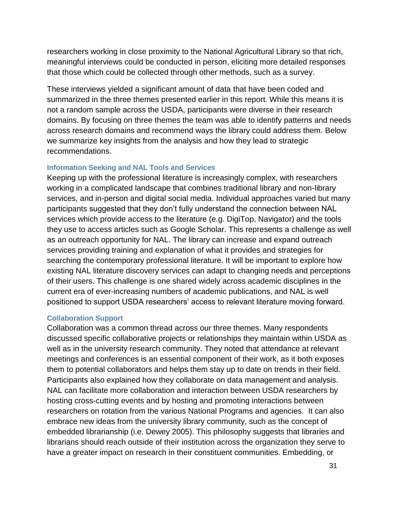researchers working in close proximity to the National Agricultural Library so that rich, meaningful interviews could be conducted in person, eliciting more detailed responses that those which could be collected through other methods, such as a survey.

These interviews yielded a significant amount of data that have been coded and summarized in the three themes presented earlier in this report. While this means it is not a random sample across the USDA, participants were diverse in their research domains. By focusing on three themes the team was able to identify patterns and needs across research domains and recommend ways the library could address them. Below we summarize key insights from the analysis and how they lead to strategic recommendations.

#### **Information Seeking and NAL Tools and Services**

Keeping up with the professional literature is increasingly complex, with researchers working in a complicated landscape that combines traditional library and non-library services, and in-person and digital social media. Individual approaches varied but many participants suggested that they don't fully understand the connection between NAL services which provide access to the literature (e.g. DigiTop, Navigator) and the tools they use to access articles such as Google Scholar. This represents a challenge as well as an outreach opportunity for NAL. The library can increase and expand outreach services providing training and explanation of what it provides and strategies for searching the contemporary professional literature. It will be important to explore how existing NAL literature discovery services can adapt to changing needs and perceptions of their users. This challenge is one shared widely across academic disciplines in the current era of ever-increasing numbers of academic publications, and NAL is well positioned to support USDA researchers' access to relevant literature moving forward.

#### **Collaboration Support**

Collaboration was a common thread across our three themes. Many respondents discussed specific collaborative projects or relationships they maintain within USDA as well as in the university research community. They noted that attendance at relevant meetings and conferences is an essential component of their work, as it both exposes them to potential collaborators and helps them stay up to date on trends in their field. Participants also explained how they collaborate on data management and analysis. NAL can facilitate more collaboration and interaction between USDA researchers by hosting cross-cutting events and by hosting and promoting interactions between researchers on rotation from the various National Programs and agencies. It can also embrace new ideas from the university library community, such as the concept of embedded librarianship (i.e. Dewey 2005). This philosophy suggests that libraries and librarians should reach outside of their institution across the organization they serve to have a greater impact on research in their constituent communities. Embedding, or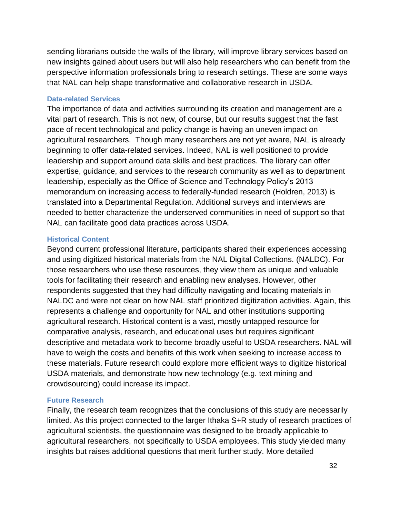sending librarians outside the walls of the library, will improve library services based on new insights gained about users but will also help researchers who can benefit from the perspective information professionals bring to research settings. These are some ways that NAL can help shape transformative and collaborative research in USDA.

#### **Data-related Services**

The importance of data and activities surrounding its creation and management are a vital part of research. This is not new, of course, but our results suggest that the fast pace of recent technological and policy change is having an uneven impact on agricultural researchers. Though many researchers are not yet aware, NAL is already beginning to offer data-related services. Indeed, NAL is well positioned to provide leadership and support around data skills and best practices. The library can offer expertise, guidance, and services to the research community as well as to department leadership, especially as the Office of Science and Technology Policy's 2013 memorandum on increasing access to federally-funded research (Holdren, 2013) is translated into a Departmental Regulation. Additional surveys and interviews are needed to better characterize the underserved communities in need of support so that NAL can facilitate good data practices across USDA.

#### **Historical Content**

Beyond current professional literature, participants shared their experiences accessing and using digitized historical materials from the NAL Digital Collections. (NALDC). For those researchers who use these resources, they view them as unique and valuable tools for facilitating their research and enabling new analyses. However, other respondents suggested that they had difficulty navigating and locating materials in NALDC and were not clear on how NAL staff prioritized digitization activities. Again, this represents a challenge and opportunity for NAL and other institutions supporting agricultural research. Historical content is a vast, mostly untapped resource for comparative analysis, research, and educational uses but requires significant descriptive and metadata work to become broadly useful to USDA researchers. NAL will have to weigh the costs and benefits of this work when seeking to increase access to these materials. Future research could explore more efficient ways to digitize historical USDA materials, and demonstrate how new technology (e.g. text mining and crowdsourcing) could increase its impact.

#### **Future Research**

Finally, the research team recognizes that the conclusions of this study are necessarily limited. As this project connected to the larger Ithaka S+R study of research practices of agricultural scientists, the questionnaire was designed to be broadly applicable to agricultural researchers, not specifically to USDA employees. This study yielded many insights but raises additional questions that merit further study. More detailed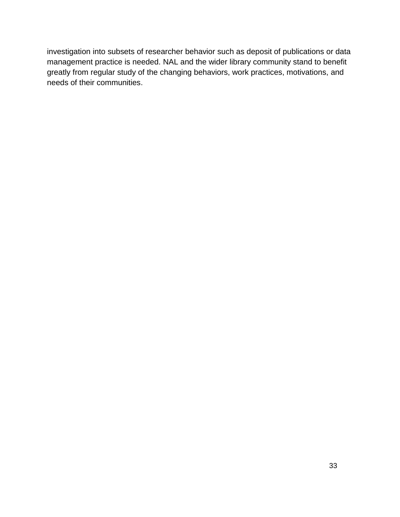investigation into subsets of researcher behavior such as deposit of publications or data management practice is needed. NAL and the wider library community stand to benefit greatly from regular study of the changing behaviors, work practices, motivations, and needs of their communities.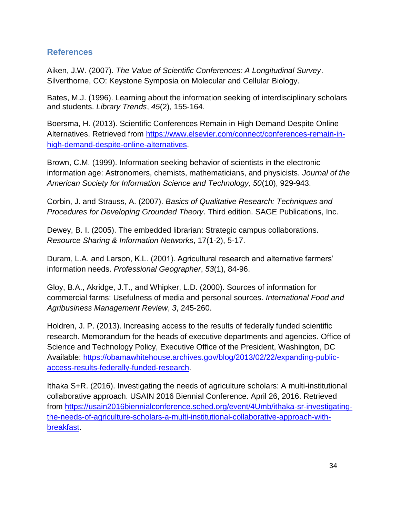### <span id="page-33-0"></span>**References**

Aiken, J.W. (2007). *The Value of Scientific Conferences: A Longitudinal Survey*. Silverthorne, CO: Keystone Symposia on Molecular and Cellular Biology.

Bates, M.J. (1996). Learning about the information seeking of interdisciplinary scholars and students. *Library Trends*, *45*(2), 155-164.

Boersma, H. (2013). Scientific Conferences Remain in High Demand Despite Online Alternatives. Retrieved from [https://www.elsevier.com/connect/conferences-remain-in](https://www.elsevier.com/connect/conferences-remain-in-high-demand-despite-online-alternatives)[high-demand-despite-online-alternatives.](https://www.elsevier.com/connect/conferences-remain-in-high-demand-despite-online-alternatives)

Brown, C.M. (1999). Information seeking behavior of scientists in the electronic information age: Astronomers, chemists, mathematicians, and physicists. *Journal of the American Society for Information Science and Technology, 50*(10), 929-943.

Corbin, J. and Strauss, A. (2007). *Basics of Qualitative Research: Techniques and Procedures for Developing Grounded Theory*. Third edition. SAGE Publications, Inc.

Dewey, B. I. (2005). The embedded librarian: Strategic campus collaborations. *Resource Sharing & Information Networks*, 17(1-2), 5-17.

Duram, L.A. and Larson, K.L. (2001). Agricultural research and alternative farmers' information needs. *Professional Geographer*, *53*(1), 84-96.

Gloy, B.A., Akridge, J.T., and Whipker, L.D. (2000). Sources of information for commercial farms: Usefulness of media and personal sources. *International Food and Agribusiness Management Review*, *3*, 245-260.

Holdren, J. P. (2013). Increasing access to the results of federally funded scientific research. Memorandum for the heads of executive departments and agencies. Office of Science and Technology Policy, Executive Office of the President, Washington, DC Available: [https://obamawhitehouse.archives.gov/blog/2013/02/22/expanding-public](https://obamawhitehouse.archives.gov/blog/2013/02/22/expanding-public-access-results-federally-funded-research)[access-results-federally-funded-research.](https://obamawhitehouse.archives.gov/blog/2013/02/22/expanding-public-access-results-federally-funded-research)

Ithaka S+R. (2016). Investigating the needs of agriculture scholars: A multi-institutional collaborative approach. USAIN 2016 Biennial Conference. April 26, 2016. Retrieved from [https://usain2016biennialconference.sched.org/event/4Umb/ithaka-sr-investigating](https://usain2016biennialconference.sched.org/event/4Umb/ithaka-sr-investigating-the-needs-of-agriculture-scholars-a-multi-institutional-collaborative-approach-with-breakfast)[the-needs-of-agriculture-scholars-a-multi-institutional-collaborative-approach-with](https://usain2016biennialconference.sched.org/event/4Umb/ithaka-sr-investigating-the-needs-of-agriculture-scholars-a-multi-institutional-collaborative-approach-with-breakfast)[breakfast.](https://usain2016biennialconference.sched.org/event/4Umb/ithaka-sr-investigating-the-needs-of-agriculture-scholars-a-multi-institutional-collaborative-approach-with-breakfast)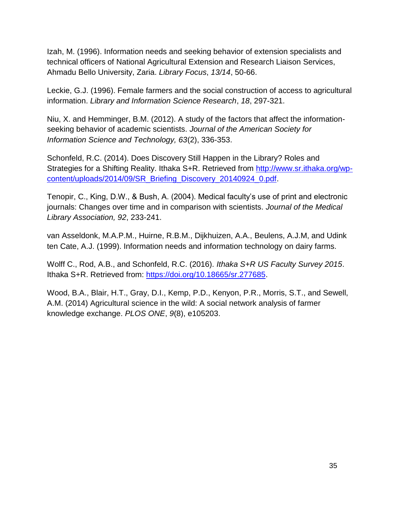Izah, M. (1996). Information needs and seeking behavior of extension specialists and technical officers of National Agricultural Extension and Research Liaison Services, Ahmadu Bello University, Zaria. *Library Focus*, *13/14*, 50-66.

Leckie, G.J. (1996). Female farmers and the social construction of access to agricultural information. *Library and Information Science Research*, *18*, 297-321.

Niu, X. and Hemminger, B.M. (2012). A study of the factors that affect the informationseeking behavior of academic scientists. *Journal of the American Society for Information Science and Technology, 63*(2), 336-353.

Schonfeld, R.C. (2014). Does Discovery Still Happen in the Library? Roles and Strategies for a Shifting Reality. Ithaka S+R. Retrieved from [http://www.sr.ithaka.org/wp](http://www.sr.ithaka.org/wp-content/uploads/2014/09/SR_Briefing_Discovery_20140924_0.pdf)[content/uploads/2014/09/SR\\_Briefing\\_Discovery\\_20140924\\_0.pdf.](http://www.sr.ithaka.org/wp-content/uploads/2014/09/SR_Briefing_Discovery_20140924_0.pdf)

Tenopir, C., King, D.W., & Bush, A. (2004). Medical faculty's use of print and electronic journals: Changes over time and in comparison with scientists. *Journal of the Medical Library Association, 92*, 233-241.

van Asseldonk, M.A.P.M., Huirne, R.B.M., Dijkhuizen, A.A., Beulens, A.J.M, and Udink ten Cate, A.J. (1999). Information needs and information technology on dairy farms.

Wolff C., Rod, A.B., and Schonfeld, R.C. (2016). *Ithaka S+R US Faculty Survey 2015*. Ithaka S+R. Retrieved from: [https://doi.org/10.18665/sr.277685.](https://doi.org/10.18665/sr.277685)

Wood, B.A., Blair, H.T., Gray, D.I., Kemp, P.D., Kenyon, P.R., Morris, S.T., and Sewell, A.M. (2014) Agricultural science in the wild: A social network analysis of farmer knowledge exchange. *PLOS ONE*, *9*(8), e105203.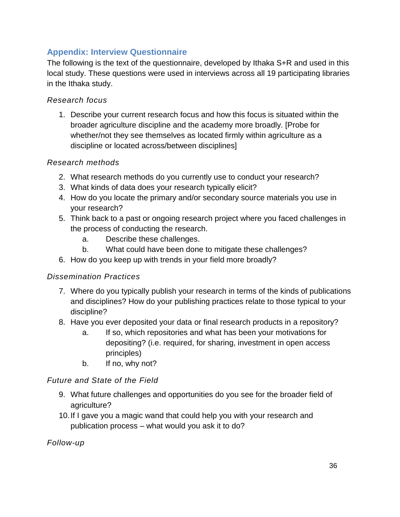## <span id="page-35-0"></span>**Appendix: Interview Questionnaire**

The following is the text of the questionnaire, developed by Ithaka S+R and used in this local study. These questions were used in interviews across all 19 participating libraries in the Ithaka study.

### *Research focus*

1. Describe your current research focus and how this focus is situated within the broader agriculture discipline and the academy more broadly. [Probe for whether/not they see themselves as located firmly within agriculture as a discipline or located across/between disciplines]

### *Research methods*

- 2. What research methods do you currently use to conduct your research?
- 3. What kinds of data does your research typically elicit?
- 4. How do you locate the primary and/or secondary source materials you use in your research?
- 5. Think back to a past or ongoing research project where you faced challenges in the process of conducting the research.
	- a. Describe these challenges.
	- b. What could have been done to mitigate these challenges?
- 6. How do you keep up with trends in your field more broadly?

### *Dissemination Practices*

- 7. Where do you typically publish your research in terms of the kinds of publications and disciplines? How do your publishing practices relate to those typical to your discipline?
- 8. Have you ever deposited your data or final research products in a repository?
	- a. If so, which repositories and what has been your motivations for depositing? (i.e. required, for sharing, investment in open access principles)
	- b. If no, why not?

### *Future and State of the Field*

- 9. What future challenges and opportunities do you see for the broader field of agriculture?
- 10.If I gave you a magic wand that could help you with your research and publication process – what would you ask it to do?

*Follow-up*